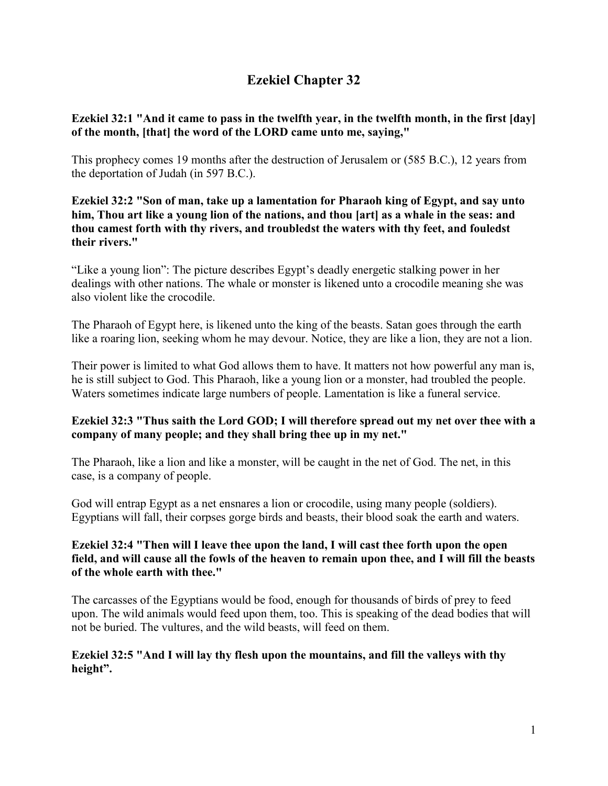# **Ezekiel Chapter 32**

### **Ezekiel 32:1 "And it came to pass in the twelfth year, in the twelfth month, in the first [day] of the month, [that] the word of the LORD came unto me, saying,"**

This prophecy comes 19 months after the destruction of Jerusalem or (585 B.C.), 12 years from the deportation of Judah (in 597 B.C.).

**Ezekiel 32:2 "Son of man, take up a lamentation for Pharaoh king of Egypt, and say unto him, Thou art like a young lion of the nations, and thou [art] as a whale in the seas: and thou camest forth with thy rivers, and troubledst the waters with thy feet, and fouledst their rivers."**

"Like a young lion": The picture describes Egypt's deadly energetic stalking power in her dealings with other nations. The whale or monster is likened unto a crocodile meaning she was also violent like the crocodile.

The Pharaoh of Egypt here, is likened unto the king of the beasts. Satan goes through the earth like a roaring lion, seeking whom he may devour. Notice, they are like a lion, they are not a lion.

Their power is limited to what God allows them to have. It matters not how powerful any man is, he is still subject to God. This Pharaoh, like a young lion or a monster, had troubled the people. Waters sometimes indicate large numbers of people. Lamentation is like a funeral service.

### **Ezekiel 32:3 "Thus saith the Lord GOD; I will therefore spread out my net over thee with a company of many people; and they shall bring thee up in my net."**

The Pharaoh, like a lion and like a monster, will be caught in the net of God. The net, in this case, is a company of people.

God will entrap Egypt as a net ensnares a lion or crocodile, using many people (soldiers). Egyptians will fall, their corpses gorge birds and beasts, their blood soak the earth and waters.

### **Ezekiel 32:4 "Then will I leave thee upon the land, I will cast thee forth upon the open field, and will cause all the fowls of the heaven to remain upon thee, and I will fill the beasts of the whole earth with thee."**

The carcasses of the Egyptians would be food, enough for thousands of birds of prey to feed upon. The wild animals would feed upon them, too. This is speaking of the dead bodies that will not be buried. The vultures, and the wild beasts, will feed on them.

### **Ezekiel 32:5 "And I will lay thy flesh upon the mountains, and fill the valleys with thy height".**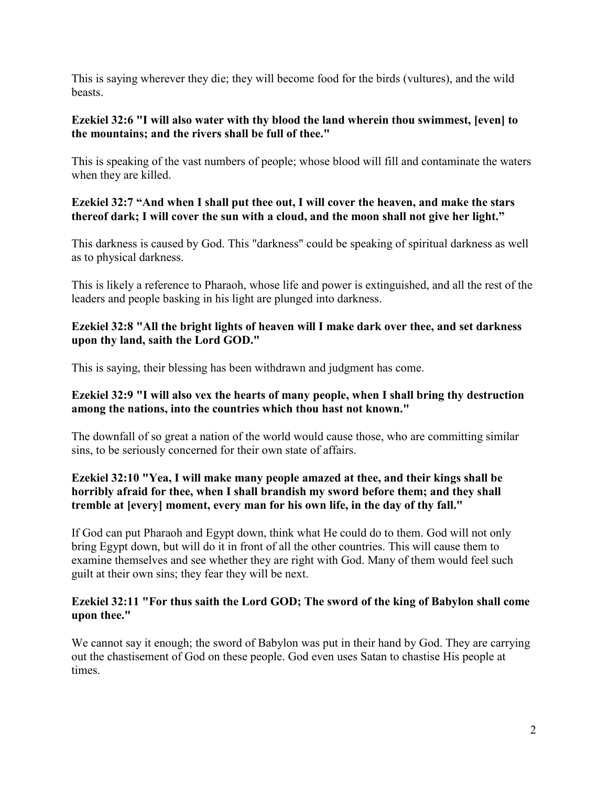This is saying wherever they die; they will become food for the birds (vultures), and the wild beasts.

### **Ezekiel 32:6 "I will also water with thy blood the land wherein thou swimmest, [even] to the mountains; and the rivers shall be full of thee."**

This is speaking of the vast numbers of people; whose blood will fill and contaminate the waters when they are killed.

### **Ezekiel 32:7 "And when I shall put thee out, I will cover the heaven, and make the stars thereof dark; I will cover the sun with a cloud, and the moon shall not give her light."**

This darkness is caused by God. This "darkness" could be speaking of spiritual darkness as well as to physical darkness.

This is likely a reference to Pharaoh, whose life and power is extinguished, and all the rest of the leaders and people basking in his light are plunged into darkness.

### **Ezekiel 32:8 "All the bright lights of heaven will I make dark over thee, and set darkness upon thy land, saith the Lord GOD."**

This is saying, their blessing has been withdrawn and judgment has come.

### **Ezekiel 32:9 "I will also vex the hearts of many people, when I shall bring thy destruction among the nations, into the countries which thou hast not known."**

The downfall of so great a nation of the world would cause those, who are committing similar sins, to be seriously concerned for their own state of affairs.

### **Ezekiel 32:10 "Yea, I will make many people amazed at thee, and their kings shall be horribly afraid for thee, when I shall brandish my sword before them; and they shall tremble at [every] moment, every man for his own life, in the day of thy fall."**

If God can put Pharaoh and Egypt down, think what He could do to them. God will not only bring Egypt down, but will do it in front of all the other countries. This will cause them to examine themselves and see whether they are right with God. Many of them would feel such guilt at their own sins; they fear they will be next.

### **Ezekiel 32:11 "For thus saith the Lord GOD; The sword of the king of Babylon shall come upon thee."**

We cannot say it enough; the sword of Babylon was put in their hand by God. They are carrying out the chastisement of God on these people. God even uses Satan to chastise His people at times.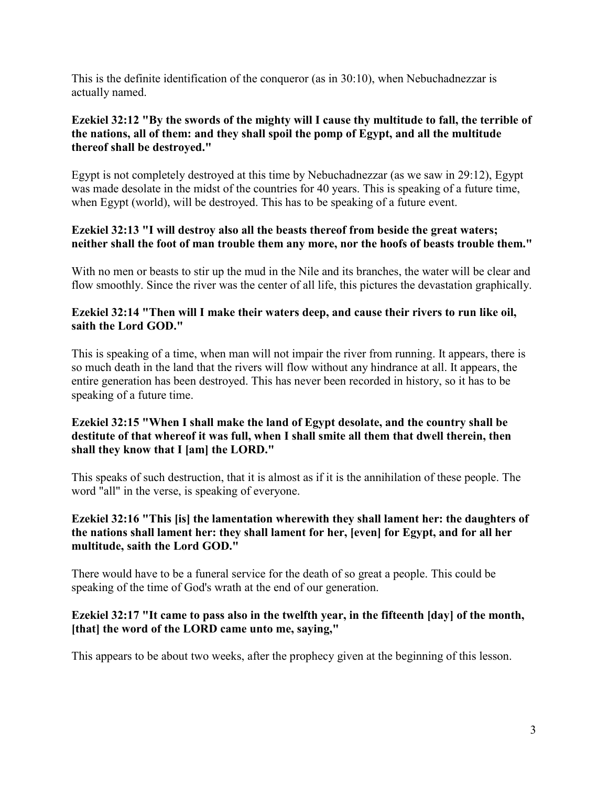This is the definite identification of the conqueror (as in 30:10), when Nebuchadnezzar is actually named.

### **Ezekiel 32:12 "By the swords of the mighty will I cause thy multitude to fall, the terrible of the nations, all of them: and they shall spoil the pomp of Egypt, and all the multitude thereof shall be destroyed."**

Egypt is not completely destroyed at this time by Nebuchadnezzar (as we saw in 29:12), Egypt was made desolate in the midst of the countries for 40 years. This is speaking of a future time, when Egypt (world), will be destroyed. This has to be speaking of a future event.

### **Ezekiel 32:13 "I will destroy also all the beasts thereof from beside the great waters; neither shall the foot of man trouble them any more, nor the hoofs of beasts trouble them."**

With no men or beasts to stir up the mud in the Nile and its branches, the water will be clear and flow smoothly. Since the river was the center of all life, this pictures the devastation graphically.

### **Ezekiel 32:14 "Then will I make their waters deep, and cause their rivers to run like oil, saith the Lord GOD."**

This is speaking of a time, when man will not impair the river from running. It appears, there is so much death in the land that the rivers will flow without any hindrance at all. It appears, the entire generation has been destroyed. This has never been recorded in history, so it has to be speaking of a future time.

### **Ezekiel 32:15 "When I shall make the land of Egypt desolate, and the country shall be destitute of that whereof it was full, when I shall smite all them that dwell therein, then shall they know that I [am] the LORD."**

This speaks of such destruction, that it is almost as if it is the annihilation of these people. The word "all" in the verse, is speaking of everyone.

### **Ezekiel 32:16 "This [is] the lamentation wherewith they shall lament her: the daughters of the nations shall lament her: they shall lament for her, [even] for Egypt, and for all her multitude, saith the Lord GOD."**

There would have to be a funeral service for the death of so great a people. This could be speaking of the time of God's wrath at the end of our generation.

### **Ezekiel 32:17 "It came to pass also in the twelfth year, in the fifteenth [day] of the month, [that] the word of the LORD came unto me, saying,"**

This appears to be about two weeks, after the prophecy given at the beginning of this lesson.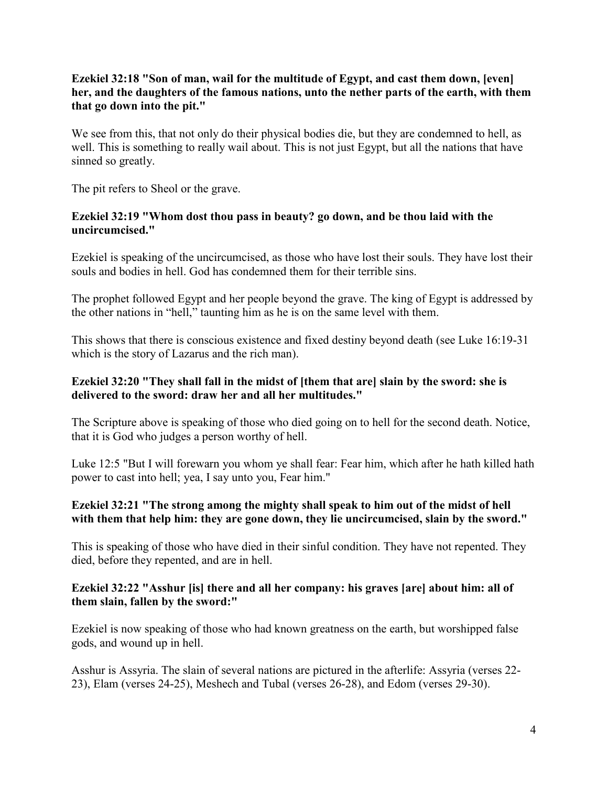### **Ezekiel 32:18 "Son of man, wail for the multitude of Egypt, and cast them down, [even] her, and the daughters of the famous nations, unto the nether parts of the earth, with them that go down into the pit."**

We see from this, that not only do their physical bodies die, but they are condemned to hell, as well. This is something to really wail about. This is not just Egypt, but all the nations that have sinned so greatly.

The pit refers to Sheol or the grave.

### **Ezekiel 32:19 "Whom dost thou pass in beauty? go down, and be thou laid with the uncircumcised."**

Ezekiel is speaking of the uncircumcised, as those who have lost their souls. They have lost their souls and bodies in hell. God has condemned them for their terrible sins.

The prophet followed Egypt and her people beyond the grave. The king of Egypt is addressed by the other nations in "hell," taunting him as he is on the same level with them.

This shows that there is conscious existence and fixed destiny beyond death (see Luke 16:19-31 which is the story of Lazarus and the rich man).

### **Ezekiel 32:20 "They shall fall in the midst of [them that are] slain by the sword: she is delivered to the sword: draw her and all her multitudes."**

The Scripture above is speaking of those who died going on to hell for the second death. Notice, that it is God who judges a person worthy of hell.

Luke 12:5 "But I will forewarn you whom ye shall fear: Fear him, which after he hath killed hath power to cast into hell; yea, I say unto you, Fear him."

### **Ezekiel 32:21 "The strong among the mighty shall speak to him out of the midst of hell with them that help him: they are gone down, they lie uncircumcised, slain by the sword."**

This is speaking of those who have died in their sinful condition. They have not repented. They died, before they repented, and are in hell.

### **Ezekiel 32:22 "Asshur [is] there and all her company: his graves [are] about him: all of them slain, fallen by the sword:"**

Ezekiel is now speaking of those who had known greatness on the earth, but worshipped false gods, and wound up in hell.

Asshur is Assyria. The slain of several nations are pictured in the afterlife: Assyria (verses 22- 23), Elam (verses 24-25), Meshech and Tubal (verses 26-28), and Edom (verses 29-30).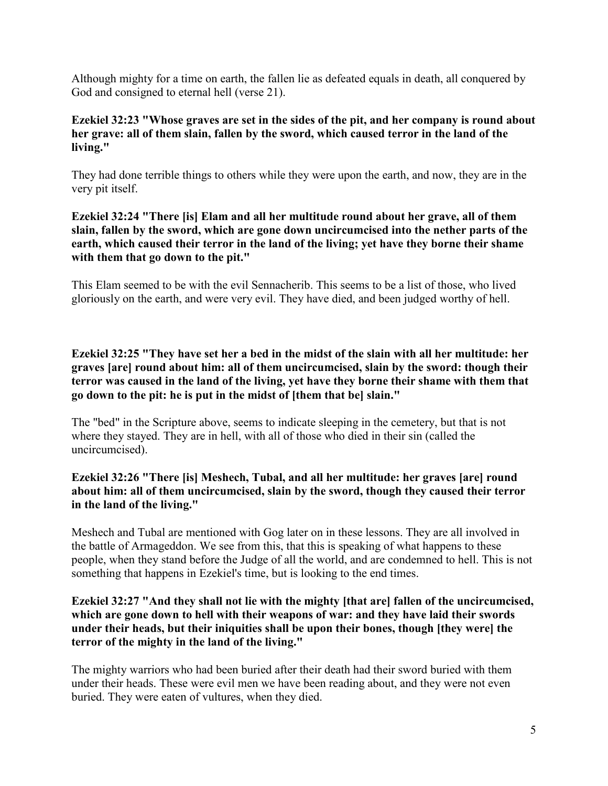Although mighty for a time on earth, the fallen lie as defeated equals in death, all conquered by God and consigned to eternal hell (verse 21).

### **Ezekiel 32:23 "Whose graves are set in the sides of the pit, and her company is round about her grave: all of them slain, fallen by the sword, which caused terror in the land of the living."**

They had done terrible things to others while they were upon the earth, and now, they are in the very pit itself.

### **Ezekiel 32:24 "There [is] Elam and all her multitude round about her grave, all of them slain, fallen by the sword, which are gone down uncircumcised into the nether parts of the earth, which caused their terror in the land of the living; yet have they borne their shame with them that go down to the pit."**

This Elam seemed to be with the evil Sennacherib. This seems to be a list of those, who lived gloriously on the earth, and were very evil. They have died, and been judged worthy of hell.

**Ezekiel 32:25 "They have set her a bed in the midst of the slain with all her multitude: her graves [are] round about him: all of them uncircumcised, slain by the sword: though their terror was caused in the land of the living, yet have they borne their shame with them that go down to the pit: he is put in the midst of [them that be] slain."**

The "bed" in the Scripture above, seems to indicate sleeping in the cemetery, but that is not where they stayed. They are in hell, with all of those who died in their sin (called the uncircumcised).

### **Ezekiel 32:26 "There [is] Meshech, Tubal, and all her multitude: her graves [are] round about him: all of them uncircumcised, slain by the sword, though they caused their terror in the land of the living."**

Meshech and Tubal are mentioned with Gog later on in these lessons. They are all involved in the battle of Armageddon. We see from this, that this is speaking of what happens to these people, when they stand before the Judge of all the world, and are condemned to hell. This is not something that happens in Ezekiel's time, but is looking to the end times.

### **Ezekiel 32:27 "And they shall not lie with the mighty [that are] fallen of the uncircumcised, which are gone down to hell with their weapons of war: and they have laid their swords under their heads, but their iniquities shall be upon their bones, though [they were] the terror of the mighty in the land of the living."**

The mighty warriors who had been buried after their death had their sword buried with them under their heads. These were evil men we have been reading about, and they were not even buried. They were eaten of vultures, when they died.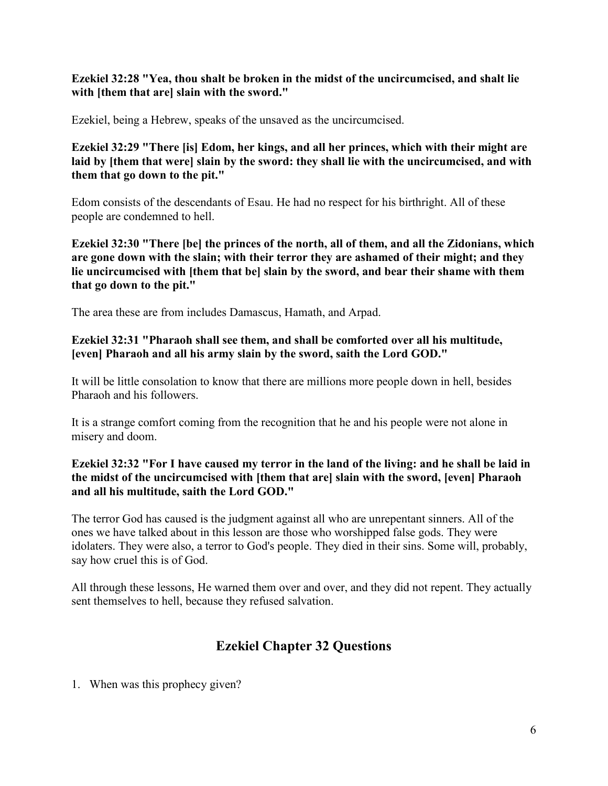### **Ezekiel 32:28 "Yea, thou shalt be broken in the midst of the uncircumcised, and shalt lie with [them that are] slain with the sword."**

Ezekiel, being a Hebrew, speaks of the unsaved as the uncircumcised.

**Ezekiel 32:29 "There [is] Edom, her kings, and all her princes, which with their might are laid by [them that were] slain by the sword: they shall lie with the uncircumcised, and with them that go down to the pit."**

Edom consists of the descendants of Esau. He had no respect for his birthright. All of these people are condemned to hell.

**Ezekiel 32:30 "There [be] the princes of the north, all of them, and all the Zidonians, which are gone down with the slain; with their terror they are ashamed of their might; and they lie uncircumcised with [them that be] slain by the sword, and bear their shame with them that go down to the pit."**

The area these are from includes Damascus, Hamath, and Arpad.

### **Ezekiel 32:31 "Pharaoh shall see them, and shall be comforted over all his multitude, [even] Pharaoh and all his army slain by the sword, saith the Lord GOD."**

It will be little consolation to know that there are millions more people down in hell, besides Pharaoh and his followers.

It is a strange comfort coming from the recognition that he and his people were not alone in misery and doom.

### **Ezekiel 32:32 "For I have caused my terror in the land of the living: and he shall be laid in the midst of the uncircumcised with [them that are] slain with the sword, [even] Pharaoh and all his multitude, saith the Lord GOD."**

The terror God has caused is the judgment against all who are unrepentant sinners. All of the ones we have talked about in this lesson are those who worshipped false gods. They were idolaters. They were also, a terror to God's people. They died in their sins. Some will, probably, say how cruel this is of God.

All through these lessons, He warned them over and over, and they did not repent. They actually sent themselves to hell, because they refused salvation.

## **Ezekiel Chapter 32 Questions**

1. When was this prophecy given?